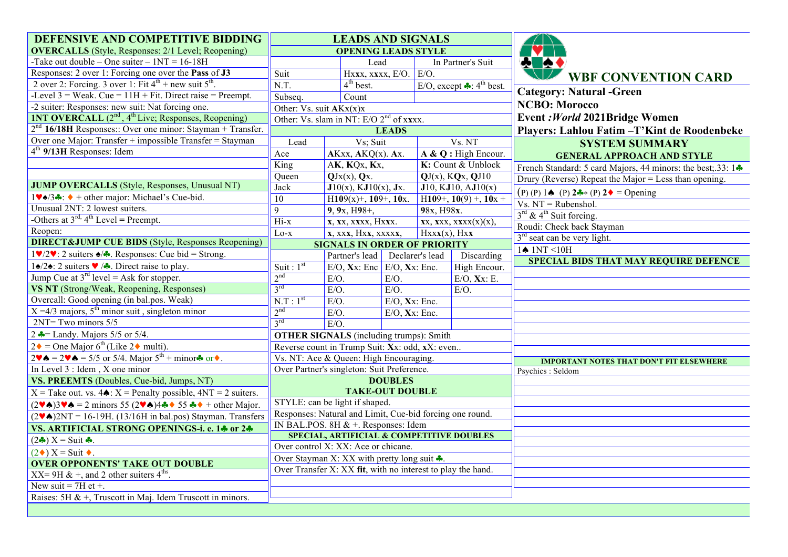| DEFENSIVE AND COMPETITIVE BIDDING                                                                                                                                          | <b>LEADS AND SIGNALS</b>                            |                                                             |                    |                                                 |                                                                          |
|----------------------------------------------------------------------------------------------------------------------------------------------------------------------------|-----------------------------------------------------|-------------------------------------------------------------|--------------------|-------------------------------------------------|--------------------------------------------------------------------------|
| <b>OVERCALLS</b> (Style, Responses: 2/1 Level; Reopening)                                                                                                                  | <b>OPENING LEADS STYLE</b>                          |                                                             |                    |                                                 |                                                                          |
| -Take out double – One suiter – $1NT = 16-18H$                                                                                                                             |                                                     | Lead                                                        |                    | In Partner's Suit                               | <b>A A</b>                                                               |
| Responses: 2 over 1: Forcing one over the Pass of J3                                                                                                                       | Suit                                                | Hxxx, xxxx, E/O. E/O.                                       |                    |                                                 | <b>WBF CONVENTION CARD</b>                                               |
| 2 over 2: Forcing. 3 over 1: Fit $4^{th}$ + new suit $5^{th}$ .                                                                                                            | N.T.                                                | $4th$ best.                                                 |                    | E/O, except $\clubsuit$ : 4 <sup>th</sup> best. |                                                                          |
| -Level $3$ = Weak. Cue = $11H + Fit$ . Direct raise = Preempt.                                                                                                             | Subseq.                                             | Count                                                       |                    |                                                 | <b>Category: Natural -Green</b>                                          |
| -2 suiter: Responses: new suit: Nat forcing one.                                                                                                                           | Other: $\overline{Vs.}$ suit $AKx(x)x$              |                                                             |                    |                                                 | <b>NCBO: Morocco</b>                                                     |
| <b>INT OVERCALL</b> (2 <sup>nd</sup> , 4 <sup>th</sup> Live; Responses, Reopening)                                                                                         | Other: Vs. slam in NT: E/O 2 <sup>nd</sup> of xxxx. |                                                             |                    |                                                 | Event: World 2021 Bridge Women                                           |
| $2nd$ 16/18H Responses:: Over one minor: Stayman + Transfer.                                                                                                               | <b>LEADS</b>                                        |                                                             |                    |                                                 | Players: Lahlou Fatim - T'Kint de Roodenbeke                             |
| Over one Major: Transfer + impossible Transfer = Stayman                                                                                                                   | Lead<br>Vs; Suit                                    |                                                             |                    | Vs. NT                                          | <b>SYSTEM SUMMARY</b>                                                    |
| $4th$ 9/13H Responses: Idem                                                                                                                                                | Ace                                                 | $AKxx, AKQ(x)$ . Ax.                                        |                    | A & Q : High Encour.                            | <b>GENERAL APPROACH AND STYLE</b>                                        |
|                                                                                                                                                                            | King                                                | AK, KQx, Kx,                                                | K: Count & Unblock |                                                 | French Standard: 5 card Majors, 44 minors: the best; 33: $1 \cdot \cdot$ |
|                                                                                                                                                                            | Queen                                               | $QJx(x)$ , $Qx$ .                                           |                    | $\overline{QJ(x)}$ , $KQx$ , $QJ10$             | Drury (Reverse) Repeat the Major = Less than opening.                    |
| <b>JUMP OVERCALLS</b> (Style, Responses, Unusual NT)                                                                                                                       | <b>Jack</b>                                         | $J10(x)$ , KJ $10(x)$ , Jx.                                 |                    | J10, KJ10, AJ10(x)                              | $(P) (P) 1 \spadesuit (P) 2 \clubsuit (P) 2 \spadesuit = \text{Opening}$ |
| $1\blacktriangledown\triangleleft/3\clubsuit$ : $\blacklozenge$ + other major: Michael's Cue-bid.                                                                          | $\overline{10}$                                     | $H109(x) +$ , 109+, 10x.<br>H109+, $10(9) +$ , $10x +$      |                    |                                                 | $Vs. NT = Rubenshol.$                                                    |
| Unusual 2NT: 2 lowest suiters.                                                                                                                                             | $\overline{9}$                                      | 98x, H98x.<br>9, 9x, H98+,                                  |                    |                                                 | $3rd$ & 4 <sup>th</sup> Suit forcing.                                    |
| -Others at $3^{\text{rd}}$ , $4^{\text{th}}$ Level = Preempt.                                                                                                              | $Hi-x$                                              | x, xx, xxxx, Hxxx.                                          |                    | $XX$ , $XXX$ , $XXX(X)(X)$ ,                    | Roudi: Check back Stayman                                                |
| Reopen:                                                                                                                                                                    | x, xxx, Hxx, xxxxx,<br>$Lo-x$                       |                                                             |                    | Hxxx(x), Hxx                                    | 3 <sup>rd</sup> seat can be very light.                                  |
| <b>DIRECT&amp;JUMP CUE BIDS</b> (Style, Responses Reopening)                                                                                                               | <b>SIGNALS IN ORDER OF PRIORITY</b>                 |                                                             |                    |                                                 | $1\spadesuit$ 1NT <10H                                                   |
| $1\blacktriangledown/2\blacktriangledown$ : 2 suiters $\blacktriangle/\blacktriangledown$ . Responses: Cue bid = Strong.                                                   |                                                     | Partner's lead Declarer's lead                              |                    | Discarding                                      | <b>SPECIAL BIDS THAT MAY REQUIRE DEFENCE</b>                             |
| 1∤2∤: 2 suiters $\blacktriangledown$ /*. Direct raise to play.                                                                                                             | Suit: $1st$                                         | $E/O$ , Xx: Enc $E/O$ , Xx: Enc.                            |                    | High Encour.                                    |                                                                          |
| Jump Cue at $3^{rd}$ level = Ask for stopper.                                                                                                                              | 2 <sup>nd</sup>                                     | $E/O$ .<br>$E/O$ .                                          |                    | $E/O$ , Xx: E.                                  |                                                                          |
| VS NT (Strong/Weak, Reopening, Responses)                                                                                                                                  | 3 <sup>rd</sup><br>$E/O$ .<br>$E/O$ .               |                                                             |                    | $E/O$ .                                         |                                                                          |
| Overcall: Good opening (in bal.pos. Weak)                                                                                                                                  | N.T : 1 <sup>st</sup>                               | $E/O$ .<br>$E/O$ , Xx: Enc.                                 |                    |                                                 |                                                                          |
| $X = 4/3$ majors, $5^{\text{th}}$ minor suit, singleton minor                                                                                                              | 2 <sup>nd</sup><br>$E/O$ .<br>$E/O$ , Xx: Enc.      |                                                             |                    |                                                 |                                                                          |
| $2NT = Two minors 5/5$                                                                                                                                                     | $3^{rd}$                                            | $E/O$ .                                                     |                    |                                                 |                                                                          |
| 2 $\triangle =$ Landy. Majors 5/5 or 5/4.                                                                                                                                  |                                                     | <b>OTHER SIGNALS</b> (including trumps): Smith              |                    |                                                 |                                                                          |
| $2\bullet$ = One Major 6 <sup>th</sup> (Like 2 $\bullet$ multi).                                                                                                           |                                                     | Reverse count in Trump Suit: Xx: odd, xX: even              |                    |                                                 |                                                                          |
| $2\blacktriangledown \blacktriangle = 2\blacktriangledown \blacktriangle = 5/5$ or 5/4. Major $5^{\text{th}} + \text{minor} \blacktriangle$ or $\blacktriangledown$ .      | Vs. NT: Ace & Queen: High Encouraging.              |                                                             |                    |                                                 | <b>IMPORTANT NOTES THAT DON'T FIT ELSEWHERE</b>                          |
| In Level $3:$ Idem, $X$ one minor                                                                                                                                          | Over Partner's singleton: Suit Preference.          |                                                             |                    |                                                 | Psychics: Seldom                                                         |
| VS. PREEMTS (Doubles, Cue-bid, Jumps, NT)                                                                                                                                  | <b>DOUBLES</b>                                      |                                                             |                    |                                                 |                                                                          |
| $X =$ Take out. vs. 4 $\triangle$ : $X =$ Penalty possible, 4NT = 2 suiters.                                                                                               |                                                     | <b>TAKE-OUT DOUBLE</b>                                      |                    |                                                 |                                                                          |
| $(2\blacktriangledown\spadesuit)3\blacktriangledown\spadesuit = 2$ minors 55 $(2\blacktriangledown\spadesuit)4\clubsuit\spadesuit$ 55 $\clubsuit\spadesuit$ + other Major. |                                                     | STYLE: can be light if shaped.                              |                    |                                                 |                                                                          |
| $(2\blacktriangledown\spadesuit)2NT = 16-19H$ . (13/16H in bal.pos) Stayman. Transfers                                                                                     |                                                     | Responses: Natural and Limit, Cue-bid forcing one round.    |                    |                                                 |                                                                          |
| VS. ARTIFICIAL STRONG OPENINGS-i. e. 14 or 24                                                                                                                              |                                                     | IN BAL.POS. 8H $& +$ . Responses: Idem                      |                    |                                                 |                                                                          |
| $(2\clubsuit) X = Suit \clubsuit$ .                                                                                                                                        |                                                     | <b>SPECIAL, ARTIFICIAL &amp; COMPETITIVE DOUBLES</b>        |                    |                                                 |                                                                          |
| $(2\bullet) X = Suit \bullet$ .                                                                                                                                            |                                                     | Over control X: XX: Ace or chicane.                         |                    |                                                 |                                                                          |
| <b>OVER OPPONENTS' TAKE OUT DOUBLE</b>                                                                                                                                     |                                                     | Over Stayman X: XX with pretty long suit $\clubsuit$ .      |                    |                                                 |                                                                          |
| XX= 9H & +, and 2 other suiters $4^{\text{ths}}$ .                                                                                                                         |                                                     | Over Transfer X: XX fit, with no interest to play the hand. |                    |                                                 |                                                                          |
| New suit = $7H$ et +.                                                                                                                                                      |                                                     |                                                             |                    |                                                 |                                                                          |
| Raises: 5H & +, Truscott in Maj. Idem Truscott in minors.                                                                                                                  |                                                     |                                                             |                    |                                                 |                                                                          |
|                                                                                                                                                                            |                                                     |                                                             |                    |                                                 |                                                                          |